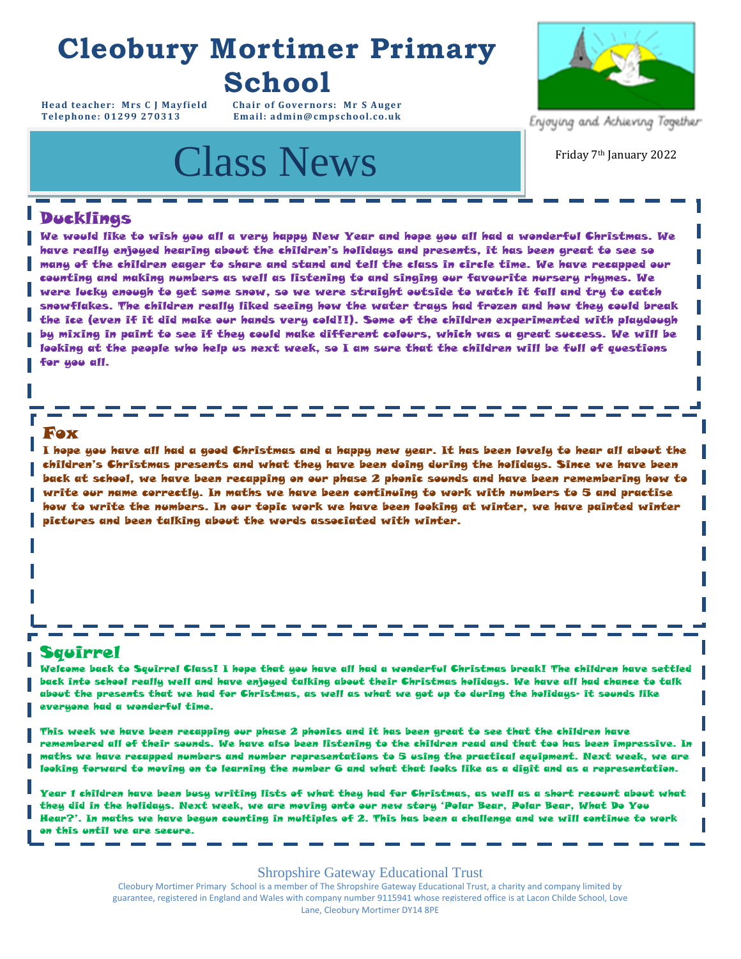# **Cleobury Mortimer Primary School**

**Head teacher: Mrs C J Mayfield Chair of Governors: Mr S Auger**  $Email: admin@cmpschool.co.uk$ 

# Class News Friday 7th January 2022



Enjoying and Achieving Together

# Ducklings

We would like to wish you all a very happy New Year and hope you all had a wonderful Christmas. We have really enjoyed hearing about the children's holidays and presents, it has been great to see so many of the children eager to share and stand and tell the class in circle time. We have recapped our counting and making numbers as well as listening to and singing our favourite nursery rhymes. We were lucky enough to get some snow, so we were straight outside to watch it fall and try to catch snowflakes. The children really liked seeing how the water trays had frozen and how they could break the ice (even if it did make our hands very cold!!). Some of the children experimented with playdough by mixing in paint to see if they could make different colours, which was a great success. We will be looking at the people who help us next week, so I am sure that the children will be full of questions for you all.

# Fox

I hope you have all had a good Christmas and a happy new year. It has been lovely to hear all about the children's Christmas presents and what they have been doing during the holidays. Since we have been back at school, we have been recapping on our phase 2 phonic sounds and have been remembering how to write our name correctly. In maths we have been continuing to work with numbers to 5 and practise how to write the numbers. In our topic work we have been looking at winter, we have painted winter pictures and been talking about the words associated with winter.

- - - - -

# Squirrel

Welcome back to Squirrel Class! I hope that you have all had a wonderful Christmas break! The children have settled back into school really well and have enjoyed talking about their Christmas holidays. We have all had chance to talk about the presents that we had for Christmas, as well as what we got up to during the holidays- it sounds like everyone had a wonderful time.

This week we have been recapping our phase 2 phonics and it has been great to see that the children have remembered all of their sounds. We have also been listening to the children read and that too has been impressive. In maths we have recapped numbers and number representations to 5 using the practical equipment. Next week, we are looking forward to moving on to learning the number 6 and what that looks like as a digit and as a representation.

Year 1 children have been busy writing lists of what they had for Christmas, as well as a short recount about what they did in the holidays. Next week, we are moving onto our new story 'Polar Bear, Polar Bear, What Do You Hear?'. In maths we have begun counting in multiples of 2. This has been a challenge and we will continue to work on this until we are secure.

## Shropshire Gateway Educational Trust

Cleobury Mortimer Primary School is a member of The Shropshire Gateway Educational Trust, a charity and company limited by guarantee, registered in England and Wales with company number 9115941 whose registered office is at Lacon Childe School, Love<br>Lane, Cleobury Mortimer DY14 8PE Lane, Cleobury Mortimer DY14 8PE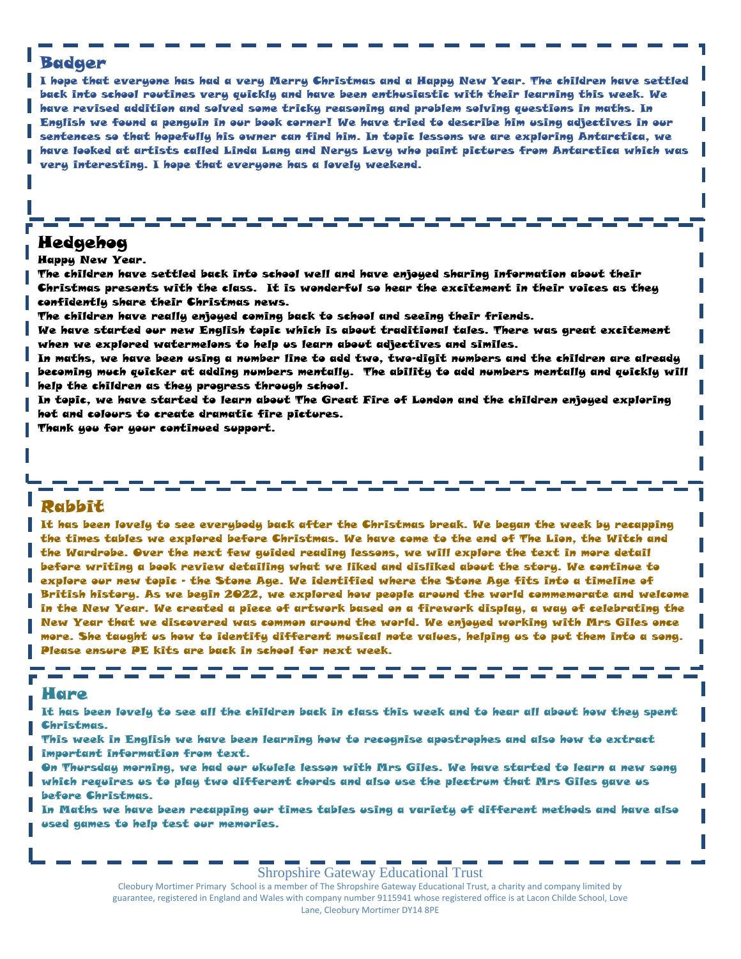# Badger

I hope that everyone has had a very Merry Christmas and a Happy New Year. The children have settled back into school routines very quickly and have been enthusiastic with their learning this week. We have revised addition and solved some tricky reasoning and problem solving questions in maths. In English we found a penguin in our book corner! We have tried to describe him using adjectives in our sentences so that hopefully his owner can find him. In topic lessons we are exploring Antarctica, we have looked at artists called Linda Lang and Nerys Levy who paint pictures from Antarctica which was very interesting. I hope that everyone has a lovely weekend.

# **For your** Hedgehog

**Calendar:**  Happy New Year.

The children have settled back into school well and have enjoyed sharing information about their Christmas presents with the class. It is wonderful so hear the excitement in their voices as they confidently share their Christmas news.

The children have really enjoyed coming back to school and seeing their friends.

We have started our new English topic which is about traditional tales. There was great excitement when we explored watermelons to help us learn about adjectives and similes.

In maths, we have been using a number line to add two, two-digit numbers and the children are already becoming much quicker at adding numbers mentally. The ability to add numbers mentally and quickly will help the children as they progress through school.

In topic, we have started to learn about The Great Fire of London and the children enjoyed exploring hot and colours to create dramatic fire pictures.

Thank you for your continued support.

# Rabbit

It has been lovely to see everybody back after the Christmas break. We began the week by recapping the times tables we explored before Christmas. We have come to the end of The Lion, the Witch and the Wardrobe. Over the next few guided reading lessons, we will explore the text in more detail before writing a book review detailing what we liked and disliked about the story. We continue to explore our new topic - the Stone Age. We identified where the Stone Age fits into a timeline of British history. As we begin 2022, we explored how people around the world commemorate and welcome in the New Year. We created a piece of artwork based on a firework display, a way of celebrating the New Year that we discovered was common around the world. We enjoyed working with Mrs Giles once more. She taught us how to identify different musical note values, helping us to put them into a song. Please ensure PE kits are back in school for next week.

#### Hare

It has been lovely to see all the children back in class this week and to hear all about how they spent Christmas.

This week in English we have been learning how to recognise apostrophes and also how to extract important information from text.

On Thursday morning, we had our ukulele lesson with Mrs Giles. We have started to learn a new song which requires us to play two different chords and also use the plectrum that Mrs Giles gave us before Christmas.

In Maths we have been recapping our times tables using a variety of different methods and have also used games to help test our memories.

Shropshire Gateway Educational Trust

Cleobury Mortimer Primary School is a member of The Shropshire Gateway Educational Trust, a charity and company limited by guarantee, registered in England and Wales with company number 9115941 whose registered office is at Lacon Childe School, Love Lane, Cleobury Mortimer DY14 8PE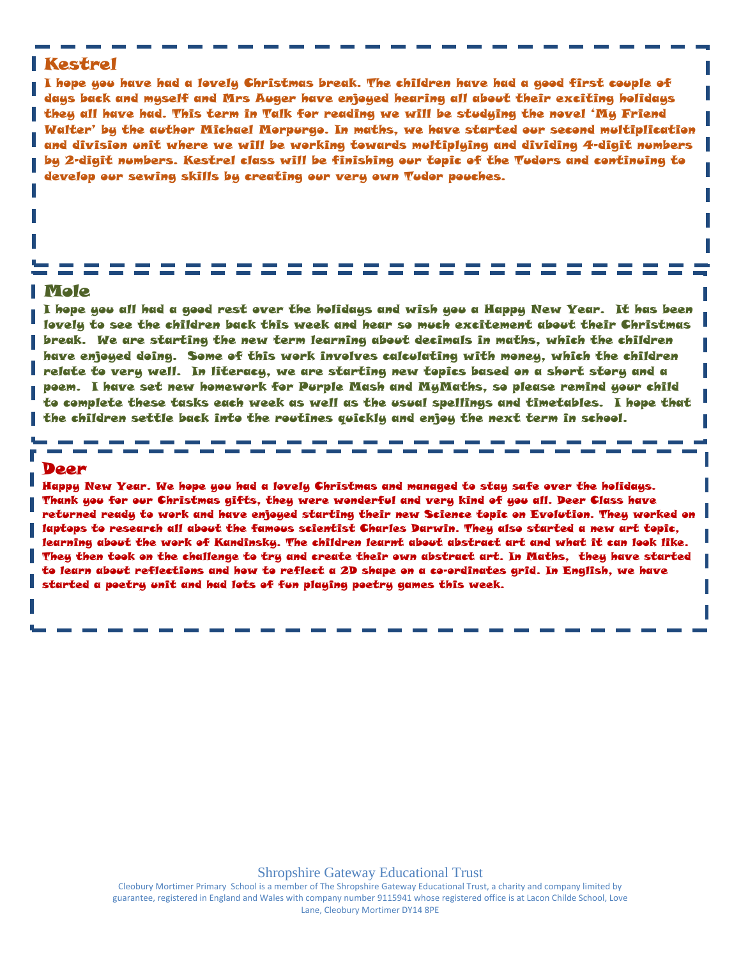# Kestrel

I hope you have had a lovely Christmas break. The children have had a good first couple of days back and myself and Mrs Auger have enjoyed hearing all about their exciting holidays they all have had. This term in Talk for reading we will be studying the novel 'My Friend Walter' by the author Michael Morpurgo. In maths, we have started our second multiplication and division unit where we will be working towards multiplying and dividing 4-digit numbers by 2-digit numbers. Kestrel class will be finishing our topic of the Tudors and continuing to develop our sewing skills by creating our very own Tudor pouches.

## Mole

I hope you all had a good rest over the holidays and wish you a Happy New Year. It has been lovely to see the children back this week and hear so much excitement about their Christmas break. We are starting the new term learning about decimals in maths, which the children have enjoyed doing. Some of this work involves calculating with money, which the children relate to very well. In literacy, we are starting new topics based on a short story and a poem. I have set new homework for Purple Mash and MyMaths, so please remind your child to complete these tasks each week as well as the usual spellings and timetables. I hope that the children settle back into the routines quickly and enjoy the next term in school.

### Deer

Happy New Year. We hope you had a lovely Christmas and managed to stay safe over the holidays. Thank you for our Christmas gifts, they were wonderful and very kind of you all. Deer Class have returned ready to work and have enjoyed starting their new Science topic on Evolution. They worked on laptops to research all about the famous scientist Charles Darwin. They also started a new art topic, learning about the work of Kandinsky. The children learnt about abstract art and what it can look like. They then took on the challenge to try and create their own abstract art. In Maths, they have started to learn about reflections and how to reflect a 2D shape on a co-ordinates grid. In English, we have started a poetry unit and had lots of fun playing poetry games this week.

Shropshire Gateway Educational Trust

Cleobury Mortimer Primary School is a member of The Shropshire Gateway Educational Trust, a charity and company limited by guarantee, registered in England and Wales with company number 9115941 whose registered office is at Lacon Childe School, Love Lane, Cleobury Mortimer DY14 8PE